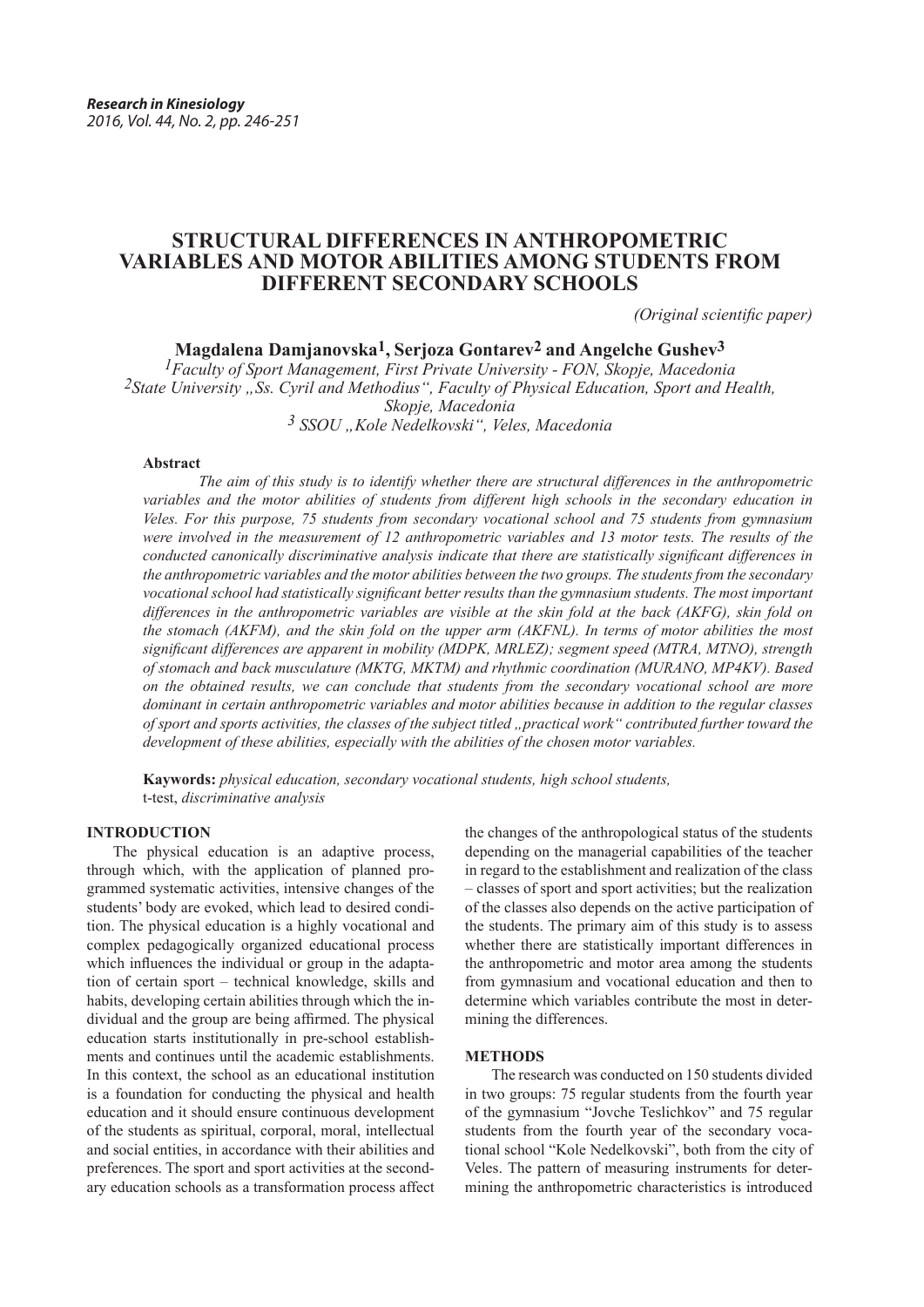# **STRUCTURAL DIFFERENCES IN ANTHROPOMETRIC VARIABLES AND MOTOR ABILITIES AMONG STUDENTS FROM DIFFERENT SECONDARY SCHOOLS**

*(Original scientific paper)*

**Magdalena Damjanovska1, Serjoza Gontarev2 and Angelche Gushev3**

<sup>2</sup>*State University "Ss. Cyril and Methodius", Faculty of Physical Education, Sport and Health, Skopje, Macedonia <sup>3</sup> SSОU "Kole Nedelkovski", Veles, Macedonia*

# **Abstract**

*The aim of this study is to identify whether there are structural differences in the anthropometric variables and the motor abilities of students from different high schools in the secondary education in Veles. For this purpose, 75 students from secondary vocational school and 75 students from gymnasium were involved in the measurement of 12 anthropometric variables and 13 motor tests. The results of the conducted canonically discriminative analysis indicate that there are statistically significant differences in the anthropometric variables and the motor abilities between the two groups. The students from the secondary vocational school had statistically significant better results than the gymnasium students. The most important differences in the anthropometric variables are visible at the skin fold at the back (AKFG), skin fold on the stomach (AKFM), and the skin fold on the upper arm (AKFNL). In terms of motor abilities the most significant differences are apparent in mobility (MDPK, MRLEZ); segment speed (MTRA, MTNO), strength of stomach and back musculature (MKTG, MKTM) and rhythmic coordination (MURANO, MP4KV). Based on the obtained results, we can conclude that students from the secondary vocational school are more dominant in certain anthropometric variables and motor abilities because in addition to the regular classes of sport and sports activities, the classes of the subject titled "practical work" contributed further toward the development of these abilities, especially with the abilities of the chosen motor variables.* 

**Kaywords:** *physical education, secondary vocational students, high school students,* t-test, *discriminative analysis*

#### **INTRODUCTION**

The physical education is an adaptive process, through which, with the application of planned programmed systematic activities, intensive changes of the students' body are evoked, which lead to desired condition. The physical education is a highly vocational and complex pedagogically organized educational process which influences the individual or group in the adaptation of certain sport – technical knowledge, skills and habits, developing certain abilities through which the individual and the group are being affirmed. The physical education starts institutionally in pre-school establishments and continues until the academic establishments. In this context, the school as an educational institution is a foundation for conducting the physical and health education and it should ensure continuous development of the students as spiritual, corporal, moral, intellectual and social entities, in accordance with their abilities and preferences. The sport and sport activities at the secondary education schools as a transformation process affect

the changes of the anthropological status of the students depending on the managerial capabilities of the teacher in regard to the establishment and realization of the class – classes of sport and sport activities; but the realization of the classes also depends on the active participation of the students. The primary aim of this study is to assess whether there are statistically important differences in the anthropometric and motor area among the students from gymnasium and vocational education and then to determine which variables contribute the most in determining the differences.

#### **METHODS**

The research was conducted on 150 students divided in two groups: 75 regular students from the fourth year of the gymnasium "Jovche Teslichkov" and 75 regular students from the fourth year of the secondary vocational school "Kole Nedelkovski", both from the city of Veles. The pattern of measuring instruments for determining the anthropometric characteristics is introduced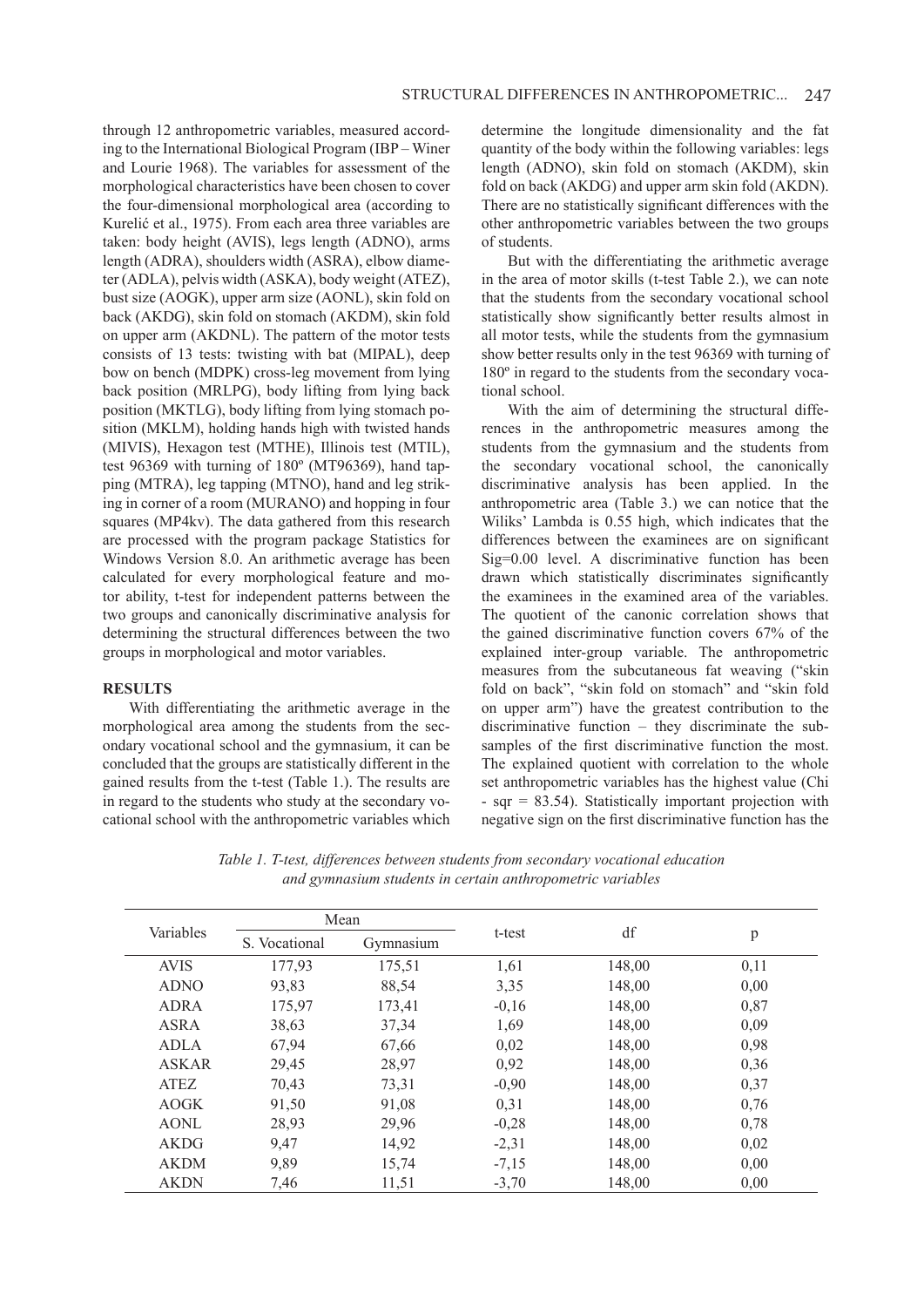through 12 anthropometric variables, measured according to the International Biological Program (IBP – Winer and Lourie 1968). The variables for assessment of the morphological characteristics have been chosen to cover the four-dimensional morphological area (according to Kurelić et al., 1975). From each area three variables are taken: body height (AVIS), legs length (ADNO), arms length (ADRA), shoulders width (ASRA), elbow diameter (ADLA), pelvis width (ASKA), body weight (ATEZ), bust size (AOGK), upper arm size (AONL), skin fold on back (AKDG), skin fold on stomach (AKDM), skin fold on upper arm (AKDNL). The pattern of the motor tests consists of 13 tests: twisting with bat (MIPAL), deep bow on bench (MDPK) cross-leg movement from lying back position (MRLPG), body lifting from lying back position (MKTLG), body lifting from lying stomach position (MKLM), holding hands high with twisted hands (MIVIS), Hexagon test (MTHE), Illinois test (MTIL), test 96369 with turning of 180º (MT96369), hand tapping (MTRA), leg tapping (MTNO), hand and leg striking in corner of a room (MURANO) and hopping in four squares (MP4kv). The data gathered from this research are processed with the program package Statistics for Windows Version 8.0. An arithmetic average has been calculated for every morphological feature and motor ability, t-test for independent patterns between the two groups and canonically discriminative analysis for determining the structural differences between the two groups in morphological and motor variables.

# **RESULTS**

With differentiating the arithmetic average in the morphological area among the students from the secondary vocational school and the gymnasium, it can be concluded that the groups are statistically different in the gained results from the t-test (Table 1.). The results are in regard to the students who study at the secondary vocational school with the anthropometric variables which determine the longitude dimensionality and the fat quantity of the body within the following variables: legs length (ADNO), skin fold on stomach (AKDM), skin fold on back (AKDG) and upper arm skin fold (AKDN). There are no statistically significant differences with the other anthropometric variables between the two groups of students.

But with the differentiating the arithmetic average in the area of motor skills (t-test Table 2.), we can note that the students from the secondary vocational school statistically show significantly better results almost in all motor tests, while the students from the gymnasium show better results only in the test 96369 with turning of 180º in regard to the students from the secondary vocational school.

With the aim of determining the structural differences in the anthropometric measures among the students from the gymnasium and the students from the secondary vocational school, the canonically discriminative analysis has been applied. In the anthropometric area (Table 3.) we can notice that the Wiliks' Lambda is 0.55 high, which indicates that the differences between the examinees are on significant Sig=0.00 level. A discriminative function has been drawn which statistically discriminates significantly the examinees in the examined area of the variables. The quotient of the canonic correlation shows that the gained discriminative function covers 67% of the explained inter-group variable. The anthropometric measures from the subcutaneous fat weaving ("skin fold on back", "skin fold on stomach" and "skin fold on upper arm") have the greatest contribution to the discriminative function – they discriminate the subsamples of the first discriminative function the most. The explained quotient with correlation to the whole set anthropometric variables has the highest value (Chi - sqr = 83.54). Statistically important projection with negative sign on the first discriminative function has the

|  | Table 1. T-test, differences between students from secondary vocational education |  |  |  |
|--|-----------------------------------------------------------------------------------|--|--|--|
|  | and gymnasium students in certain anthropometric variables                        |  |  |  |

|              | Mean          |           |         |        |      |  |
|--------------|---------------|-----------|---------|--------|------|--|
| Variables    | S. Vocational | Gymnasium | t-test  | df     | p    |  |
| <b>AVIS</b>  | 177,93        | 175,51    | 1,61    | 148,00 | 0,11 |  |
| <b>ADNO</b>  | 93,83         | 88,54     | 3,35    | 148,00 | 0,00 |  |
| <b>ADRA</b>  | 175,97        | 173,41    | $-0,16$ | 148,00 | 0,87 |  |
| <b>ASRA</b>  | 38,63         | 37,34     | 1,69    | 148,00 | 0,09 |  |
| <b>ADLA</b>  | 67,94         | 67,66     | 0,02    | 148,00 | 0,98 |  |
| <b>ASKAR</b> | 29,45         | 28,97     | 0,92    | 148,00 | 0,36 |  |
| <b>ATEZ</b>  | 70,43         | 73,31     | $-0,90$ | 148,00 | 0,37 |  |
| <b>AOGK</b>  | 91,50         | 91,08     | 0,31    | 148,00 | 0,76 |  |
| <b>AONL</b>  | 28,93         | 29,96     | $-0,28$ | 148,00 | 0,78 |  |
| <b>AKDG</b>  | 9,47          | 14,92     | $-2,31$ | 148,00 | 0,02 |  |
| <b>AKDM</b>  | 9,89          | 15,74     | $-7,15$ | 148,00 | 0,00 |  |
| <b>AKDN</b>  | 7,46          | 11,51     | $-3,70$ | 148,00 | 0,00 |  |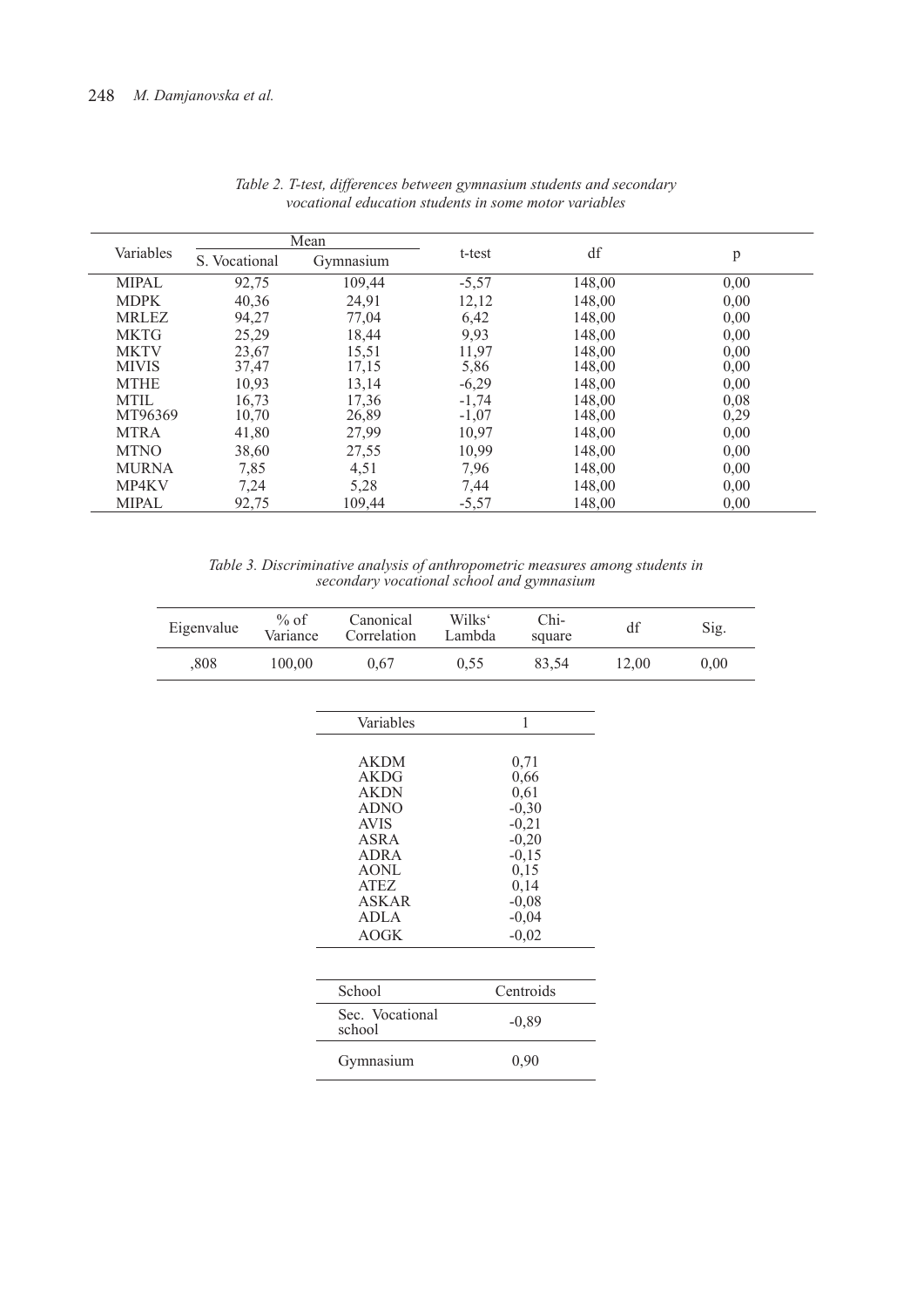|              |               | Mean      |         |        |      |  |
|--------------|---------------|-----------|---------|--------|------|--|
| Variables    | S. Vocational | Gymnasium | t-test  | df     | p    |  |
| <b>MIPAL</b> | 92,75         | 109,44    | $-5,57$ | 148,00 | 0,00 |  |
| <b>MDPK</b>  | 40,36         | 24,91     | 12,12   | 148,00 | 0,00 |  |
| <b>MRLEZ</b> | 94,27         | 77,04     | 6,42    | 148,00 | 0,00 |  |
| <b>MKTG</b>  | 25,29         | 18,44     | 9,93    | 148,00 | 0,00 |  |
| <b>MKTV</b>  | 23,67         | 15,51     | 11,97   | 148,00 | 0,00 |  |
| <b>MIVIS</b> | 37,47         | 17,15     | 5,86    | 148,00 | 0,00 |  |
| <b>MTHE</b>  | 10,93         | 13,14     | $-6,29$ | 148,00 | 0,00 |  |
| <b>MTIL</b>  | 16,73         | 17,36     | $-1,74$ | 148,00 | 0,08 |  |
| MT96369      | 10,70         | 26,89     | $-1,07$ | 148,00 | 0,29 |  |
| <b>MTRA</b>  | 41,80         | 27,99     | 10,97   | 148,00 | 0,00 |  |
| <b>MTNO</b>  | 38,60         | 27,55     | 10,99   | 148,00 | 0,00 |  |
| <b>MURNA</b> | 7,85          | 4,51      | 7,96    | 148,00 | 0,00 |  |
| MP4KV        | 7,24          | 5,28      | 7,44    | 148,00 | 0,00 |  |
| <b>MIPAL</b> | 92,75         | 109,44    | $-5,57$ | 148,00 | 0,00 |  |

|  | Table 2. T-test, differences between gymnasium students and secondary |  |  |  |
|--|-----------------------------------------------------------------------|--|--|--|
|  | vocational education students in some motor variables                 |  |  |  |

*Table 3. Discriminative analysis of anthropometric measures among students in secondary vocational school and gymnasium* 

| Eigenvalue | $%$ of<br>Variance | Canonical<br>Correlation                                                                                                                     | Wilks <sup>c</sup><br>Lambda | Chi-<br>square                                                                              | df    | Sig. |
|------------|--------------------|----------------------------------------------------------------------------------------------------------------------------------------------|------------------------------|---------------------------------------------------------------------------------------------|-------|------|
| ,808       | 100,00             | 0,67                                                                                                                                         | 0,55                         | 83,54                                                                                       | 12,00 | 0,00 |
|            |                    |                                                                                                                                              |                              |                                                                                             |       |      |
|            |                    | Variables                                                                                                                                    |                              | $\mathbf{1}$                                                                                |       |      |
|            |                    | <b>AKDM</b><br><b>AKDG</b><br><b>AKDN</b><br><b>ADNO</b><br><b>AVIS</b><br>ASRA<br><b>ADRA</b><br><b>AONL</b><br><b>ATEZ</b><br><b>ASKAR</b> |                              | 0,71<br>0,66<br>0,61<br>$-0,30$<br>$-0,21$<br>$-0,20$<br>$-0,15$<br>0,15<br>0,14<br>$-0,08$ |       |      |
|            |                    | <b>ADLA</b><br><b>AOGK</b>                                                                                                                   |                              | $-0,04$<br>$-0,02$                                                                          |       |      |
|            |                    |                                                                                                                                              |                              |                                                                                             |       |      |
|            |                    | School                                                                                                                                       |                              | Centroids                                                                                   |       |      |
|            |                    | Sec. Vocational<br>school                                                                                                                    |                              | $-0,89$                                                                                     |       |      |
|            |                    | Gymnasium                                                                                                                                    |                              | 0,90                                                                                        |       |      |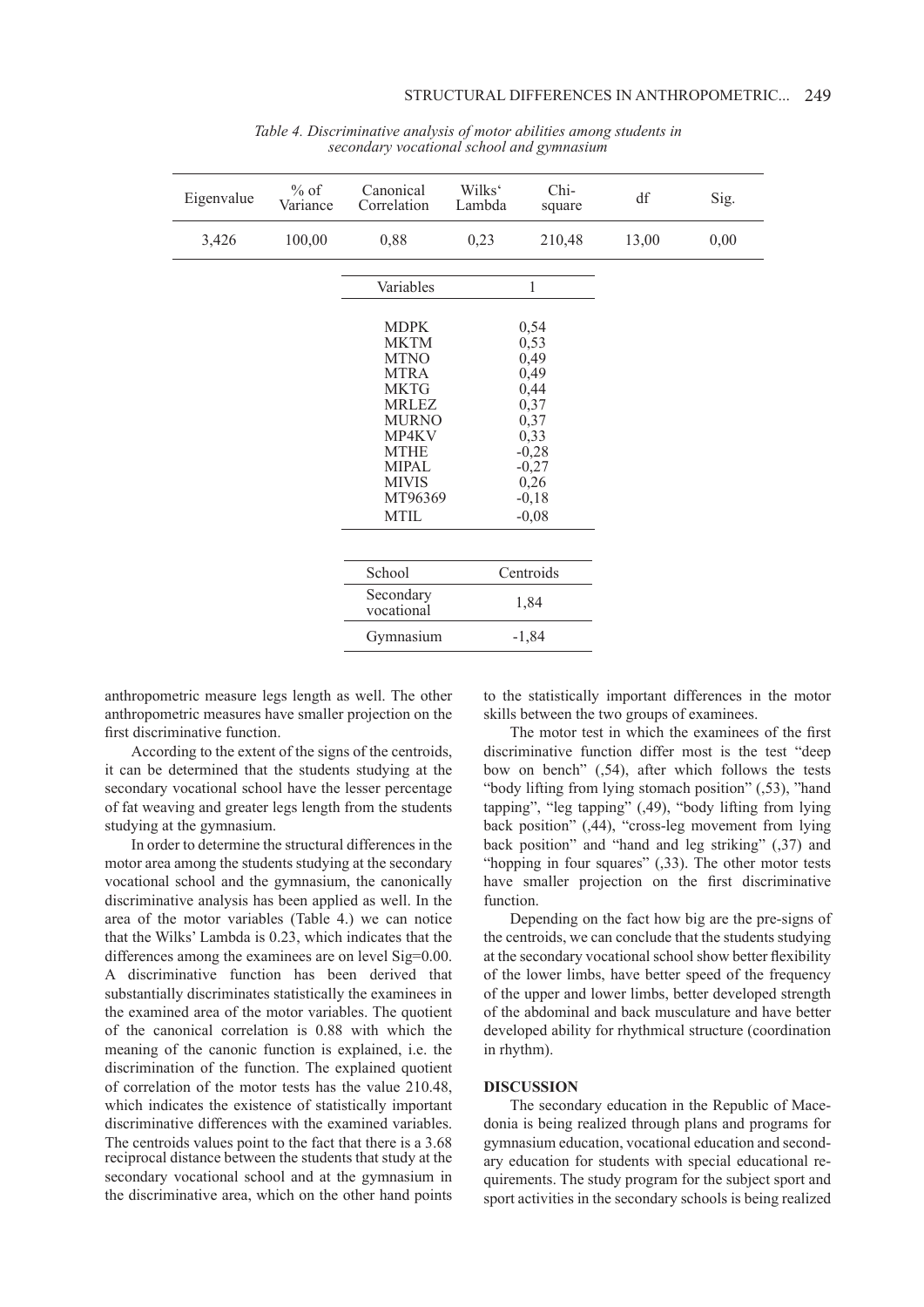| Eigenvalue | $%$ of<br>Variance | Canonical<br>Correlation                                                                                                                                                                  | Wilks'<br>Lambda | Chi-<br>square                                                                                                   | df    | Sig. |
|------------|--------------------|-------------------------------------------------------------------------------------------------------------------------------------------------------------------------------------------|------------------|------------------------------------------------------------------------------------------------------------------|-------|------|
| 3,426      | 100,00             | 0,88                                                                                                                                                                                      | 0,23             | 210,48                                                                                                           | 13,00 | 0,00 |
|            |                    | Variables                                                                                                                                                                                 |                  | 1                                                                                                                |       |      |
|            |                    | <b>MDPK</b><br><b>MKTM</b><br><b>MTNO</b><br><b>MTRA</b><br><b>MKTG</b><br><b>MRLEZ</b><br><b>MURNO</b><br>MP4KV<br><b>MTHE</b><br><b>MIPAL</b><br><b>MIVIS</b><br>MT96369<br><b>MTIL</b> |                  | 0,54<br>0,53<br>0,49<br>0,49<br>0,44<br>0,37<br>0,37<br>0,33<br>$-0,28$<br>$-0,27$<br>0,26<br>$-0,18$<br>$-0,08$ |       |      |
|            |                    | School                                                                                                                                                                                    | Centroids        |                                                                                                                  |       |      |
|            |                    | Secondary<br>vocational                                                                                                                                                                   |                  | 1,84                                                                                                             |       |      |
|            |                    | Gymnasium                                                                                                                                                                                 |                  | $-1,84$                                                                                                          |       |      |

*Table 4. Discriminative analysis of motor abilities among students in secondary vocational school and gymnasium* 

anthropometric measure legs length as well. The other anthropometric measures have smaller projection on the first discriminative function.

According to the extent of the signs of the centroids, it can be determined that the students studying at the secondary vocational school have the lesser percentage of fat weaving and greater legs length from the students studying at the gymnasium.

In order to determine the structural differences in the motor area among the students studying at the secondary vocational school and the gymnasium, the canonically discriminative analysis has been applied as well. In the area of the motor variables (Table 4.) we can notice that the Wilks' Lambda is 0.23, which indicates that the differences among the examinees are on level Sig=0.00. A discriminative function has been derived that substantially discriminates statistically the examinees in the examined area of the motor variables. The quotient of the canonical correlation is 0.88 with which the meaning of the canonic function is explained, i.e. the discrimination of the function. The explained quotient of correlation of the motor tests has the value 210.48, which indicates the existence of statistically important discriminative differences with the examined variables. The centroids values point to the fact that there is a 3.68 reciprocal distance between the students that study at the secondary vocational school and at the gymnasium in the discriminative area, which on the other hand points to the statistically important differences in the motor skills between the two groups of examinees.

The motor test in which the examinees of the first discriminative function differ most is the test "deep bow on bench" (,54), after which follows the tests "body lifting from lying stomach position" (,53), "hand tapping", "leg tapping" (,49), "body lifting from lying back position" (,44), "cross-leg movement from lying back position" and "hand and leg striking" (,37) and "hopping in four squares" (,33). The other motor tests have smaller projection on the first discriminative function.

Depending on the fact how big are the pre-signs of the centroids, we can conclude that the students studying at the secondary vocational school show better flexibility of the lower limbs, have better speed of the frequency of the upper and lower limbs, better developed strength of the abdominal and back musculature and have better developed ability for rhythmical structure (coordination in rhythm).

# **DISCUSSION**

The secondary education in the Republic of Macedonia is being realized through plans and programs for gymnasium education, vocational education and secondary education for students with special educational requirements. The study program for the subject sport and sport activities in the secondary schools is being realized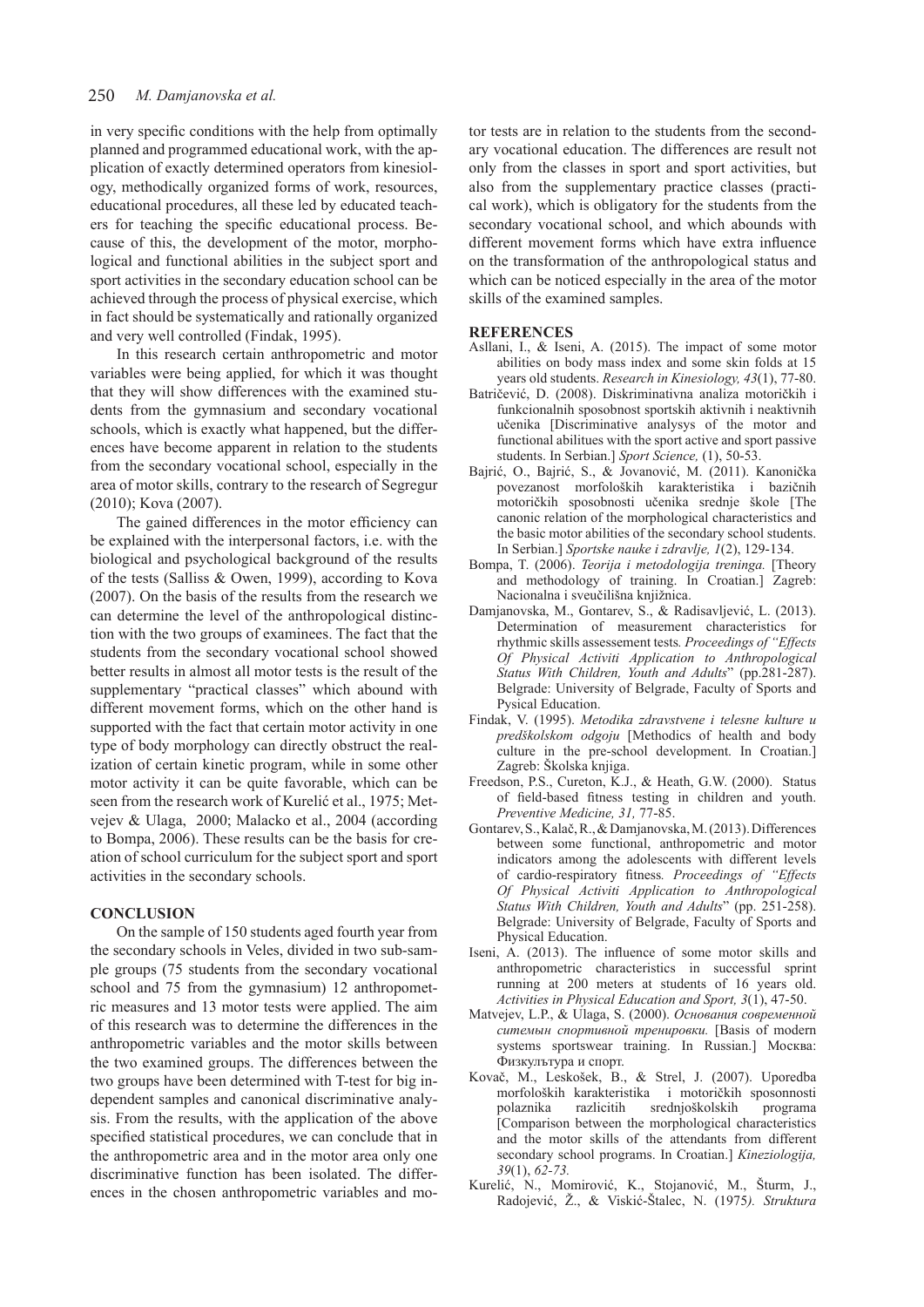# 250 *M. Damjanovska et al.*

in very specific conditions with the help from optimally planned and programmed educational work, with the application of exactly determined operators from kinesiology, methodically organized forms of work, resources, educational procedures, all these led by educated teachers for teaching the specific educational process. Because of this, the development of the motor, morphological and functional abilities in the subject sport and sport activities in the secondary education school can be achieved through the process of physical exercise, which in fact should be systematically and rationally organized and very well controlled (Findak, 1995).

In this research certain anthropometric and motor variables were being applied, for which it was thought that they will show differences with the examined students from the gymnasium and secondary vocational schools, which is exactly what happened, but the differences have become apparent in relation to the students from the secondary vocational school, especially in the area of motor skills, contrary to the research of Segregur (2010); Kova (2007).

The gained differences in the motor efficiency can be explained with the interpersonal factors, i.e. with the biological and psychological background of the results of the tests (Salliss & Owen, 1999), according to Kova (2007). On the basis of the results from the research we can determine the level of the anthropological distinction with the two groups of examinees. The fact that the students from the secondary vocational school showed better results in almost all motor tests is the result of the supplementary "practical classes" which abound with different movement forms, which on the other hand is supported with the fact that certain motor activity in one type of body morphology can directly obstruct the realization of certain kinetic program, while in some other motor activity it can be quite favorable, which can be seen from the research work of Kurelić et al., 1975; Metvejev & Ulaga, 2000; Malacko et al., 2004 (according to Bompa, 2006). These results can be the basis for creation of school curriculum for the subject sport and sport activities in the secondary schools.

#### **CONCLUSION**

On the sample of 150 students aged fourth year from the secondary schools in Veles, divided in two sub-sample groups (75 students from the secondary vocational school and 75 from the gymnasium) 12 anthropometric measures and 13 motor tests were applied. The aim of this research was to determine the differences in the anthropometric variables and the motor skills between the two examined groups. The differences between the two groups have been determined with T-test for big independent samples and canonical discriminative analysis. From the results, with the application of the above specified statistical procedures, we can conclude that in the anthropometric area and in the motor area only one discriminative function has been isolated. The differences in the chosen anthropometric variables and motor tests are in relation to the students from the secondary vocational education. The differences are result not only from the classes in sport and sport activities, but also from the supplementary practice classes (practical work), which is obligatory for the students from the secondary vocational school, and which abounds with different movement forms which have extra influence on the transformation of the anthropological status and which can be noticed especially in the area of the motor skills of the examined samples.

#### **REFERENCES**

- Asllani, I., & Iseni, A. (2015). The impact of some motor abilities on body mass index and some skin folds at 15 years old students. *Research in Kinesiology, 43*(1), 77-80.
- Batričević, D. (2008). Diskriminativna analiza motoričkih i funkcionalnih sposobnost sportskih aktivnih i neaktivnih učenika [Discriminative analysys of the motor and functional abilitues with the sport active and sport passive students. In Serbian.] *Sport Science,* (1), 50-53.
- Bajrić, O., Bajrić, S., & Jovanović, M. (2011). Kanonička povezanost morfoloških karakteristika i bazičnih motoričkih sposobnosti učenika srednje škole [The canonic relation of the morphological characteristics and the basic motor abilities of the secondary school students. In Serbian.] *Sportske nauke i zdravlje, 1*(2), 129-134.
- Bompa, T. (2006). *Teorija i metodologija treninga.* [Theory and methodology of training. In Croatian.] Zagreb: Nacionalna i sveučilišna knjižnica.
- Damjanovska, M., Gontarev, S., & Radisavljević, L. (2013). Determination of measurement characteristics for rhythmic skills assessement tests*. Proceedings of "Effects Of Physical Activiti Application to Anthropological Status With Children, Youth and Adults*" (pp.281-287). Belgrade: University of Belgrade, Faculty of Sports and Pysical Education.
- Findak, V. (1995). *Metodika zdravstvene i telesne kulture u predškolskom odgoju* [Methodics of health and body culture in the pre-school development. In Croatian.] Zagreb: Školska knjiga.
- Freedson, P.S., Cureton, K.J., & Heath, G.W. (2000).Status of field-based fitness testing in children and youth. *Preventive Medicine, 31,* 77-85.
- Gontarev, S., Kalač, R., & Damjanovska, M. (2013). Differences between some functional, anthropometric and motor indicators among the adolescents with different levels of cardio-respiratory fitness*. Proceedings of "Effects Of Physical Activiti Application to Anthropological Status With Children, Youth and Adults*" (pp. 251-258). Belgrade: University of Belgrade, Faculty of Sports and Physical Education.
- Iseni, A. (2013). The influence of some motor skills and anthropometric characteristics in successful sprint running at 200 meters at students of 16 years old. *Activities in Physical Education and Sport, 3*(1), 47-50.
- Matvejev, L.P., & Ulaga, S. (2000). *Основания современной ситемын спортивной тренировки.* [Basis of modern systems sportswear training. In Russian.] Москва: Физкулътура и спорт.
- Kovač, M., Leskošek, B., & Strel, J. (2007). Uporedba morfoloških karakteristika i motoričkih sposonnosti polaznika razlicitih srednjoškolskih [Comparison between the morphological characteristics and the motor skills of the attendants from different secondary school programs. In Croatian.] *Kineziologija, 39*(1), *62-73.*
- Kurelić, N., Momirović, K., Stojanović, M., Šturm, J., Radojević, Ž., & Viskić-Štalec, N. (1975*). Struktura*